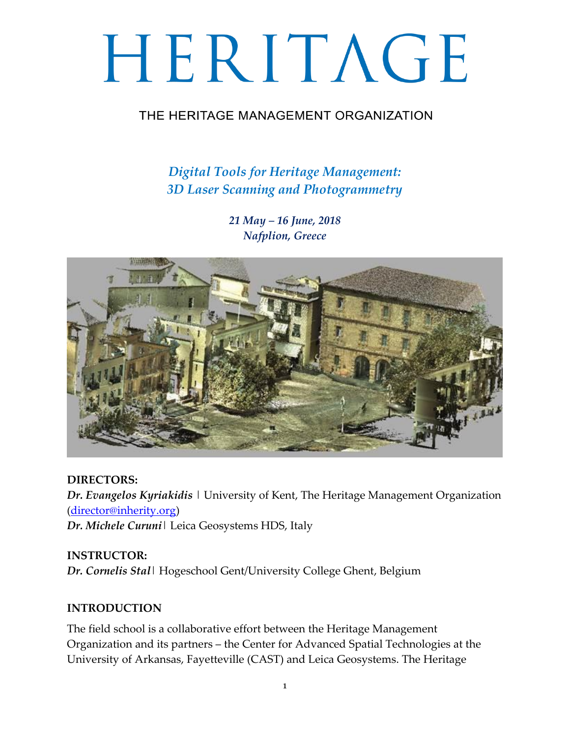## THE HERITAGE MANAGEMENT ORGANIZATION

*Digital Tools for Heritage Management: 3D Laser Scanning and Photogrammetry*

> *21 May – 16 June, 2018 Nafplion, Greece*



#### **DIRECTORS:**

*Dr. Evangelos Kyriakidis* | University of Kent, The Heritage Management Organization [\(director@inherity.org\)](mailto:e.kyriakidis@kent.ac.uk) *Dr. Michele Curuni*| Leica Geosystems HDS, Italy

**INSTRUCTOR:**  *Dr. Cornelis Stal*| Hogeschool Gent/University College Ghent, Belgium

#### **INTRODUCTION**

The field school is a collaborative effort between the Heritage Management Organization and its partners – the Center for Advanced Spatial Technologies at the University of Arkansas, Fayetteville (CAST) and Leica Geosystems. The Heritage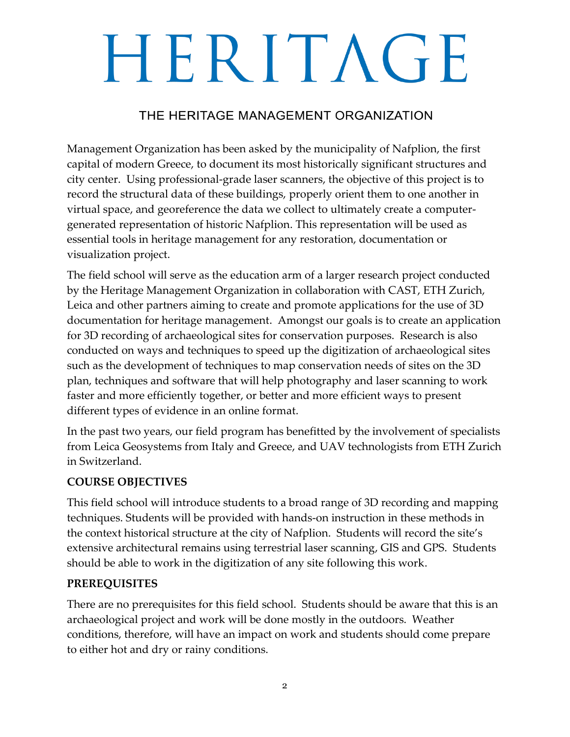## THE HERITAGE MANAGEMENT ORGANIZATION

Management Organization has been asked by the municipality of Nafplion, the first capital of modern Greece, to document its most historically significant structures and city center. Using professional-grade laser scanners, the objective of this project is to record the structural data of these buildings, properly orient them to one another in virtual space, and georeference the data we collect to ultimately create a computergenerated representation of historic Nafplion. This representation will be used as essential tools in heritage management for any restoration, documentation or visualization project.

The field school will serve as the education arm of a larger research project conducted by the Heritage Management Organization in collaboration with CAST, ETH Zurich, Leica and other partners aiming to create and promote applications for the use of 3D documentation for heritage management. Amongst our goals is to create an application for 3D recording of archaeological sites for conservation purposes. Research is also conducted on ways and techniques to speed up the digitization of archaeological sites such as the development of techniques to map conservation needs of sites on the 3D plan, techniques and software that will help photography and laser scanning to work faster and more efficiently together, or better and more efficient ways to present different types of evidence in an online format.

In the past two years, our field program has benefitted by the involvement of specialists from Leica Geosystems from Italy and Greece, and UAV technologists from ETH Zurich in Switzerland.

#### **COURSE OBJECTIVES**

This field school will introduce students to a broad range of 3D recording and mapping techniques. Students will be provided with hands-on instruction in these methods in the context historical structure at the city of Nafplion. Students will record the site's extensive architectural remains using terrestrial laser scanning, GIS and GPS. Students should be able to work in the digitization of any site following this work.

#### **PREREQUISITES**

There are no prerequisites for this field school. Students should be aware that this is an archaeological project and work will be done mostly in the outdoors. Weather conditions, therefore, will have an impact on work and students should come prepare to either hot and dry or rainy conditions.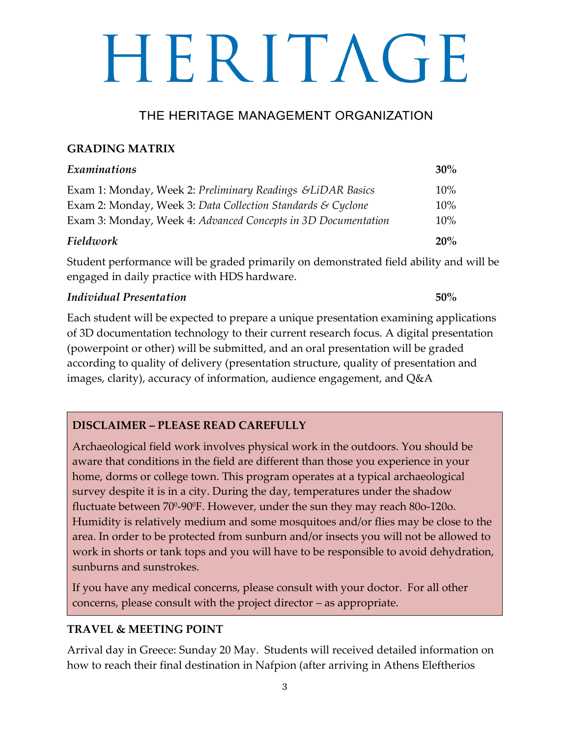## THE HERITAGE MANAGEMENT ORGANIZATION

#### **GRADING MATRIX**

| <b>Examinations</b>                                           | 30%    |
|---------------------------------------------------------------|--------|
| Exam 1: Monday, Week 2: Preliminary Readings & LiDAR Basics   | 10%    |
| Exam 2: Monday, Week 3: Data Collection Standards & Cyclone   | 10%    |
| Exam 3: Monday, Week 4: Advanced Concepts in 3D Documentation | $10\%$ |
| Fieldwork                                                     | 20%    |

Student performance will be graded primarily on demonstrated field ability and will be engaged in daily practice with HDS hardware.

#### *Individual Presentation* **50%**

Each student will be expected to prepare a unique presentation examining applications of 3D documentation technology to their current research focus. A digital presentation (powerpoint or other) will be submitted, and an oral presentation will be graded according to quality of delivery (presentation structure, quality of presentation and images, clarity), accuracy of information, audience engagement, and Q&A

## **DISCLAIMER – PLEASE READ CAREFULLY**

Archaeological field work involves physical work in the outdoors. You should be aware that conditions in the field are different than those you experience in your home, dorms or college town. This program operates at a typical archaeological survey despite it is in a city. During the day, temperatures under the shadow fluctuate between 70<sup>0</sup> ‐900F. However, under the sun they may reach 80o‐120o. Humidity is relatively medium and some mosquitoes and/or flies may be close to the area. In order to be protected from sunburn and/or insects you will not be allowed to work in shorts or tank tops and you will have to be responsible to avoid dehydration, sunburns and sunstrokes.

If you have any medical concerns, please consult with your doctor. For all other concerns, please consult with the project director – as appropriate.

## **TRAVEL & MEETING POINT**

Arrival day in Greece: Sunday 20 May. Students will received detailed information on how to reach their final destination in Nafpion (after arriving in Athens Eleftherios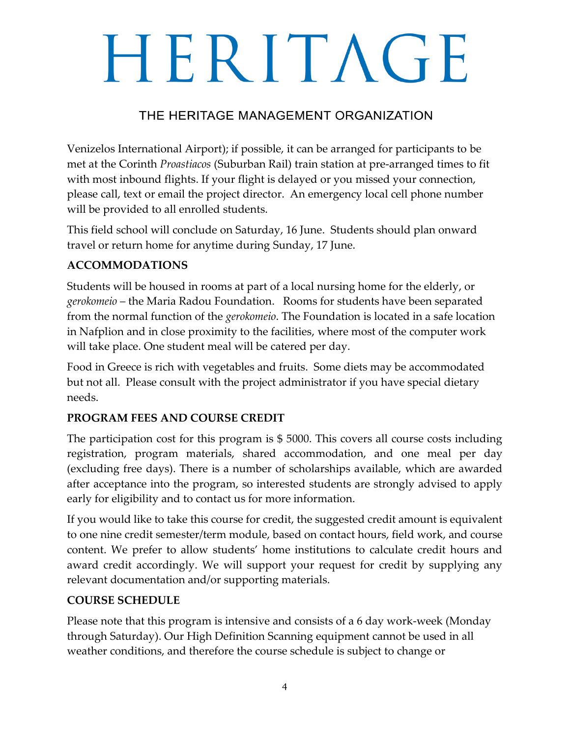## THE HERITAGE MANAGEMENT ORGANIZATION

Venizelos International Airport); if possible, it can be arranged for participants to be met at the Corinth *Proastiacos* (Suburban Rail) train station at pre-arranged times to fit with most inbound flights. If your flight is delayed or you missed your connection, please call, text or email the project director. An emergency local cell phone number will be provided to all enrolled students.

This field school will conclude on Saturday, 16 June. Students should plan onward travel or return home for anytime during Sunday, 17 June.

#### **ACCOMMODATIONS**

Students will be housed in rooms at part of a local nursing home for the elderly, or *gerokomeio* – the Maria Radou Foundation. Rooms for students have been separated from the normal function of the *gerokomeio*. The Foundation is located in a safe location in Nafplion and in close proximity to the facilities, where most of the computer work will take place. One student meal will be catered per day.

Food in Greece is rich with vegetables and fruits. Some diets may be accommodated but not all. Please consult with the project administrator if you have special dietary needs.

#### **PROGRAM FEES AND COURSE CREDIT**

The participation cost for this program is \$ 5000. This covers all course costs including registration, program materials, shared accommodation, and one meal per day (excluding free days). There is a number of scholarships available, which are awarded after acceptance into the program, so interested students are strongly advised to apply early for eligibility and to contact us for more information.

If you would like to take this course for credit, the suggested credit amount is equivalent to one nine credit semester/term module, based on contact hours, field work, and course content. We prefer to allow students' home institutions to calculate credit hours and award credit accordingly. We will support your request for credit by supplying any relevant documentation and/or supporting materials.

#### **COURSE SCHEDULE**

Please note that this program is intensive and consists of a 6 day work-week (Monday through Saturday). Our High Definition Scanning equipment cannot be used in all weather conditions, and therefore the course schedule is subject to change or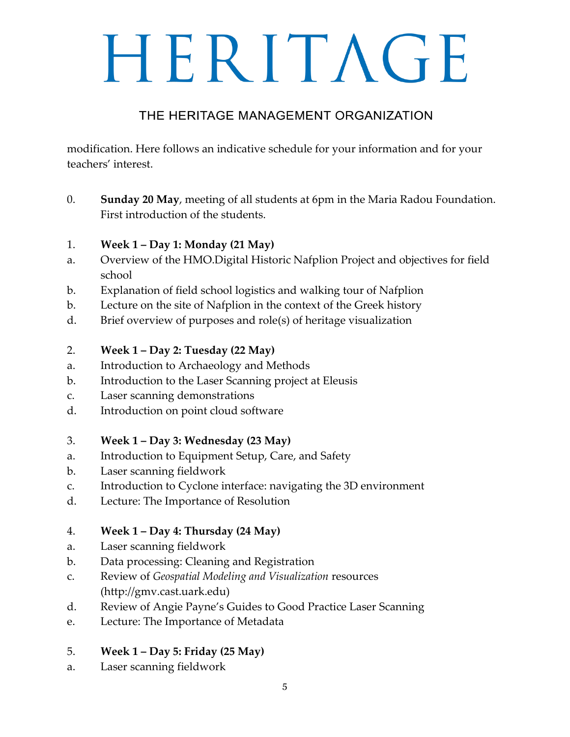# THE HERITAGE MANAGEMENT ORGANIZATION

modification. Here follows an indicative schedule for your information and for your teachers' interest.

0. **Sunday 20 May**, meeting of all students at 6pm in the Maria Radou Foundation. First introduction of the students.

#### 1. **Week 1 – Day 1: Monday (21 May)**

- a. Overview of the HMO.Digital Historic Nafplion Project and objectives for field school
- b. Explanation of field school logistics and walking tour of Nafplion
- b. Lecture on the site of Nafplion in the context of the Greek history
- d. Brief overview of purposes and role(s) of heritage visualization

#### 2. **Week 1 – Day 2: Tuesday (22 May)**

- a. Introduction to Archaeology and Methods
- b. Introduction to the Laser Scanning project at Eleusis
- c. Laser scanning demonstrations
- d. Introduction on point cloud software

## 3. **Week 1 – Day 3: Wednesday (23 May)**

- a. Introduction to Equipment Setup, Care, and Safety
- b. Laser scanning fieldwork
- c. Introduction to Cyclone interface: navigating the 3D environment
- d. Lecture: The Importance of Resolution

## 4. **Week 1 – Day 4: Thursday (24 May)**

- a. Laser scanning fieldwork
- b. Data processing: Cleaning and Registration
- c. Review of *Geospatial Modeling and Visualization* resources (http://gmv.cast.uark.edu)
- d. Review of Angie Payne's Guides to Good Practice Laser Scanning
- e. Lecture: The Importance of Metadata

## 5. **Week 1 – Day 5: Friday (25 May)**

a. Laser scanning fieldwork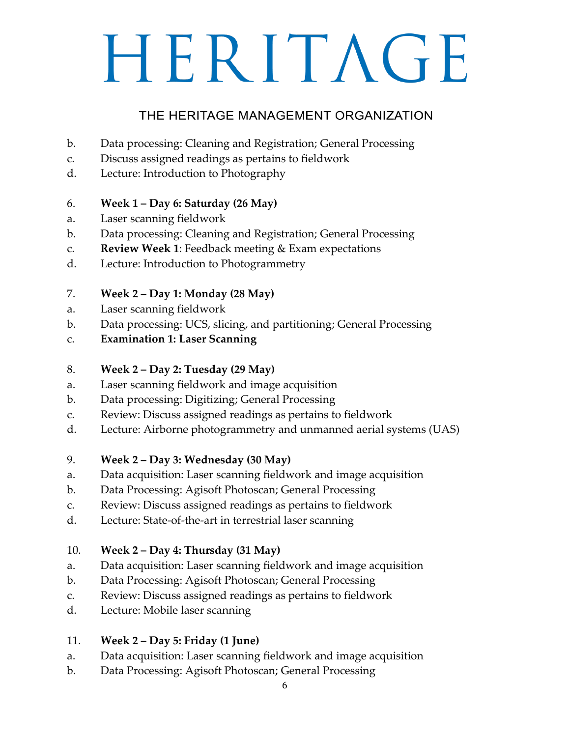## THE HERITAGE MANAGEMENT ORGANIZATION

- b. Data processing: Cleaning and Registration; General Processing
- c. Discuss assigned readings as pertains to fieldwork
- d. Lecture: Introduction to Photography

#### 6. **Week 1 – Day 6: Saturday (26 May)**

- a. Laser scanning fieldwork
- b. Data processing: Cleaning and Registration; General Processing
- c. **Review Week 1**: Feedback meeting & Exam expectations
- d. Lecture: Introduction to Photogrammetry

#### 7. **Week 2 – Day 1: Monday (28 May)**

- a. Laser scanning fieldwork
- b. Data processing: UCS, slicing, and partitioning; General Processing
- c. **Examination 1: Laser Scanning**

#### 8. **Week 2 – Day 2: Tuesday (29 May)**

- a. Laser scanning fieldwork and image acquisition
- b. Data processing: Digitizing; General Processing
- c. Review: Discuss assigned readings as pertains to fieldwork
- d. Lecture: Airborne photogrammetry and unmanned aerial systems (UAS)

#### 9. **Week 2 – Day 3: Wednesday (30 May)**

- a. Data acquisition: Laser scanning fieldwork and image acquisition
- b. Data Processing: Agisoft Photoscan; General Processing
- c. Review: Discuss assigned readings as pertains to fieldwork
- d. Lecture: State-of-the-art in terrestrial laser scanning

## 10. **Week 2 – Day 4: Thursday (31 May)**

- a. Data acquisition: Laser scanning fieldwork and image acquisition
- b. Data Processing: Agisoft Photoscan; General Processing
- c. Review: Discuss assigned readings as pertains to fieldwork
- d. Lecture: Mobile laser scanning

## 11. **Week 2 – Day 5: Friday (1 June)**

- a. Data acquisition: Laser scanning fieldwork and image acquisition
- b. Data Processing: Agisoft Photoscan; General Processing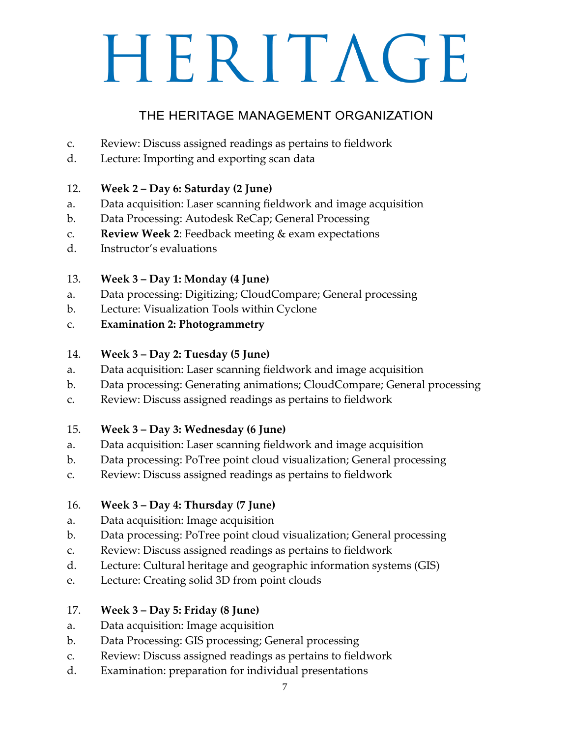## THE HERITAGE MANAGEMENT ORGANIZATION

- c. Review: Discuss assigned readings as pertains to fieldwork
- d. Lecture: Importing and exporting scan data

#### 12. **Week 2 – Day 6: Saturday (2 June)**

- a. Data acquisition: Laser scanning fieldwork and image acquisition
- b. Data Processing: Autodesk ReCap; General Processing
- c. **Review Week 2**: Feedback meeting & exam expectations
- d. Instructor's evaluations

#### 13. **Week 3 – Day 1: Monday (4 June)**

- a. Data processing: Digitizing; CloudCompare; General processing
- b. Lecture: Visualization Tools within Cyclone
- c. **Examination 2: Photogrammetry**

#### 14. **Week 3 – Day 2: Tuesday (5 June)**

- a. Data acquisition: Laser scanning fieldwork and image acquisition
- b. Data processing: Generating animations; CloudCompare; General processing
- c. Review: Discuss assigned readings as pertains to fieldwork

## 15. **Week 3 – Day 3: Wednesday (6 June)**

- a. Data acquisition: Laser scanning fieldwork and image acquisition
- b. Data processing: PoTree point cloud visualization; General processing
- c. Review: Discuss assigned readings as pertains to fieldwork

## 16. **Week 3 – Day 4: Thursday (7 June)**

- a. Data acquisition: Image acquisition
- b. Data processing: PoTree point cloud visualization; General processing
- c. Review: Discuss assigned readings as pertains to fieldwork
- d. Lecture: Cultural heritage and geographic information systems (GIS)
- e. Lecture: Creating solid 3D from point clouds

## 17. **Week 3 – Day 5: Friday (8 June)**

- a. Data acquisition: Image acquisition
- b. Data Processing: GIS processing; General processing
- c. Review: Discuss assigned readings as pertains to fieldwork
- d. Examination: preparation for individual presentations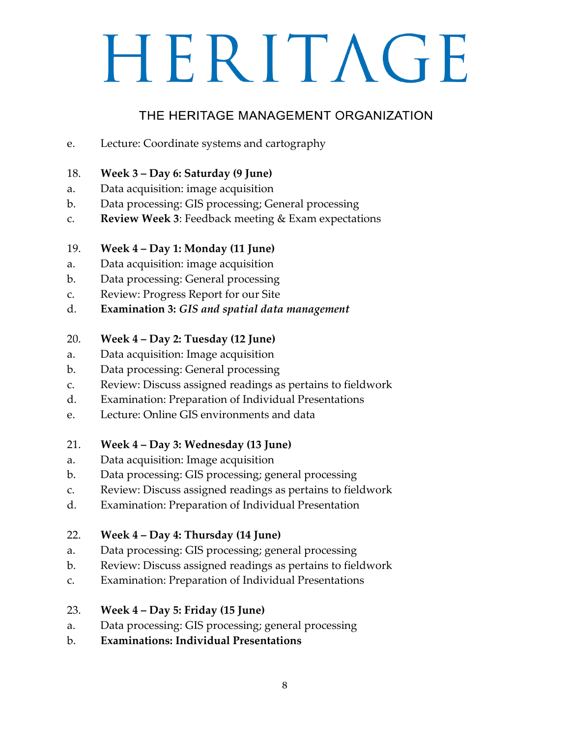# THE HERITAGE MANAGEMENT ORGANIZATION

e. Lecture: Coordinate systems and cartography

#### 18. **Week 3 – Day 6: Saturday (9 June)**

- a. Data acquisition: image acquisition
- b. Data processing: GIS processing; General processing
- c. **Review Week 3**: Feedback meeting & Exam expectations

## 19. **Week 4 – Day 1: Monday (11 June)**

- a. Data acquisition: image acquisition
- b. Data processing: General processing
- c. Review: Progress Report for our Site
- d. **Examination 3:** *GIS and spatial data management*

#### 20. **Week 4 – Day 2: Tuesday (12 June)**

- a. Data acquisition: Image acquisition
- b. Data processing: General processing
- c. Review: Discuss assigned readings as pertains to fieldwork
- d. Examination: Preparation of Individual Presentations
- e. Lecture: Online GIS environments and data

## 21. **Week 4 – Day 3: Wednesday (13 June)**

- a. Data acquisition: Image acquisition
- b. Data processing: GIS processing; general processing
- c. Review: Discuss assigned readings as pertains to fieldwork
- d. Examination: Preparation of Individual Presentation

## 22. **Week 4 – Day 4: Thursday (14 June)**

- a. Data processing: GIS processing; general processing
- b. Review: Discuss assigned readings as pertains to fieldwork
- c. Examination: Preparation of Individual Presentations

## 23. **Week 4 – Day 5: Friday (15 June)**

- a. Data processing: GIS processing; general processing
- b. **Examinations: Individual Presentations**